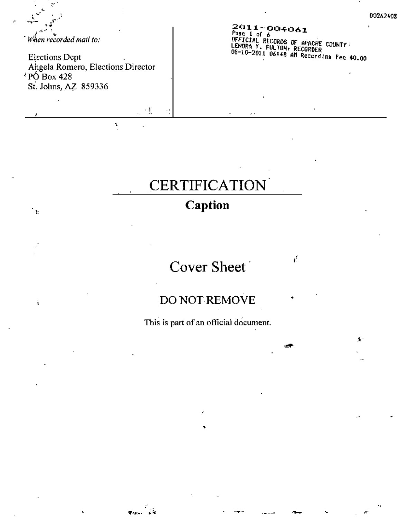When recorded mail to:

 $\mathbf{r}_{\mathrm{B}}$ 

ý.

**Elections Dept** Angela Romero, Elections Director  $\sqrt[3]{PQ}$  Box 428 St. Johns, AZ 859336

> 机  $\mathbf{r}$

ن<br>توفق الموجود

t

2011-004061<br>Pase 1 of 6<br>OFFICIAL RECORDS OF APACHE COUNTY:<br>LENDRA Y. FULTON, RECORDER<br>O8-10-2011 O6:48 AM Recordina Fee \$0.00

ť.

جي

÷

# **CERTIFICATION**

## Caption

## Cover Sheet

### DO NOT REMOVE

This is part of an official document.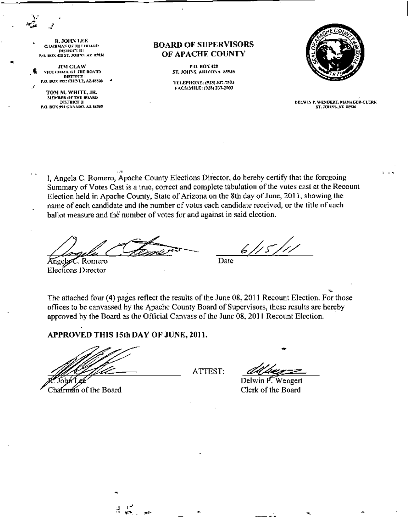R. JOHN LEE CHAIRMAS OF THE BOARD<br>DISTRICT III ", o. box 428 ST, JOHNS, AZ #5936

•

,<br>,<br>, JI'N CLAW VICE CHAIR OF HIE DOARD  $D$ ISTRICT ( P.O. BOX 1952 CHINLE, AZ 16503

TOM M. WHITE, JR. MEMBER OF THE BOARD DISTIllcr II P.O. BOY 994 CANADO. AZ 84505

#### BOARD OF SUPERVISORS OF APACHE COUNTY

**P.O. HOX 428** ST. JOHNS, ARIZONA 85936

TELEPHONE, (928) 337-7503<br>FACSIMILE: (928) 337-2003



**DELWIN P. WENGERT, MANAGER-CLERK** ST. JOHNS, AZ 35936

, I, Angela C. Romero, Apache COlmty Elections Director, do hereby certify that the foregoing Summary of Votes Cast is a true, correct and complete tabulation of the voles casl at the Recount Election held in Apache Counly, State of Arizona on the 8th day of June, 2011, showing the name of each candidate and the number of votes each candidate received. or the title of each ballot measure and the number of votes for and against in said election.

*~L~* nge . Romero Elecllons Director '

<u>6/15/11</u>

Date

• The attached four (4) pages reflect the results of the June 08, 2011 Recount Election. For those offices to be canvassed by the Apache County Board of Supervisors, these results are hereby approved by the Board as the Official Canvass of the June 08, 2011 Recount Election.

APPROVED THIS 15th DAY OF JUNE, 2011.

•

Chairman of the Board

ATTEST:

•

Delwin F W~ngert Clerk of the Board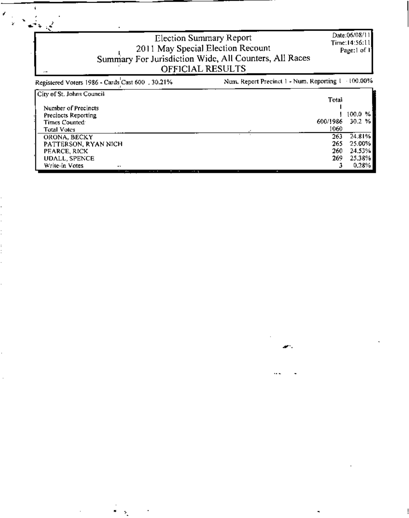| $\cdots$                                         | Election Summary Report<br>2011 May Special Election Recount<br>Summary For Jurisdiction Wide, All Counters, All Races<br><b>OFFICIAL RESULTS</b> | Date:06/08/11<br>Time:14:56:11 <br>Page:1 of 1 |             |
|--------------------------------------------------|---------------------------------------------------------------------------------------------------------------------------------------------------|------------------------------------------------|-------------|
| Registered Voters 1986 - Cards Cast 600 , 30.21% | Num. Report Precinct 1 - Num. Reporting 1                                                                                                         |                                                | $+100.00\%$ |
| City of St. Johns Council                        |                                                                                                                                                   | Total                                          |             |
| Number of Precincts                              |                                                                                                                                                   |                                                |             |
| Precincts Reporting                              |                                                                                                                                                   |                                                | 100.0 %     |
| Times Counted <sup>1</sup>                       | 600/1986                                                                                                                                          |                                                | 30.2 %      |
| <b>Total Votes</b>                               |                                                                                                                                                   | 1060                                           |             |
| ORONA, BECKY                                     |                                                                                                                                                   | 263                                            | 24.81%      |
| PATTERSON, RYAN NICH                             |                                                                                                                                                   | 265                                            | 25.00%      |
| PEARCE, RICK                                     |                                                                                                                                                   | 260                                            | 24.53%      |
| <b>UDALL, SPENCE</b>                             |                                                                                                                                                   | 269                                            | 25.38%      |
| Write-in Votes<br>$\ddot{\phantom{a}}$           |                                                                                                                                                   |                                                | 0.28%       |

œ

 $\mathbf i$ 

f

 $\ddot{\phantom{a}}$ 



...

 $\blacksquare$ 

 $\blacksquare$ 

Ŷ.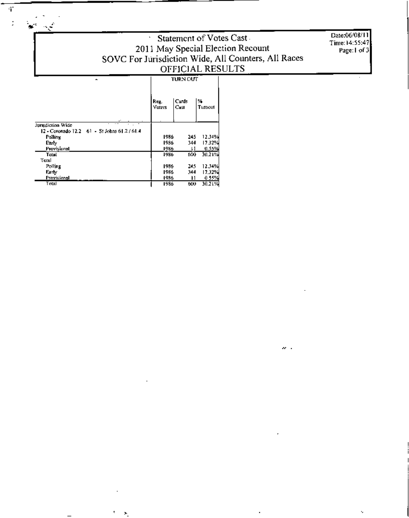# Statement of Votes Cast<br>
2011 May Special Election Recount<br>
SOVC For Jurisdiction Wide, All Counters, All Races<br>
OFFICIAL RESULTS

Date:06/08/11 Time: 14:55:47 Page:1 of 3

ï,

 $\sim$   $\sim$ 

|                                                  | Reg.<br>Voters | Cards<br>Cast | ₩<br>Turnout |  |
|--------------------------------------------------|----------------|---------------|--------------|--|
| .<br>٠<br>Jurisdiction Wide<br>٠                 |                |               |              |  |
| $12 -$ Coronado $12.2 - 61 -$ St Johns 61.2/61.4 |                |               |              |  |
| Polling                                          | 1986           | 245           | 12,34%       |  |
| Early                                            | 1986           | 344           | 17.32%       |  |
| Provisional                                      | 1986           | IJ            | 0.55%        |  |
| Tatal                                            | 1986           | 600           | 30.21%       |  |
| Total                                            |                |               |              |  |
| Polling                                          | 1986           | 245           | 12.34%       |  |
| Earty                                            | 1986           | 344           | 17.32%       |  |
| Provisional                                      | 1986           | и             | 0.55%        |  |
| Tetal                                            | 1986           | 6000          | 30 2 LW      |  |

 $\overline{\phantom{a}}$ 

 $\Phi$ 

 $\mathbb{R}^2$ 

 $\mathbf{A}^{\text{st}}$  and  $\mathbf{A}^{\text{st}}$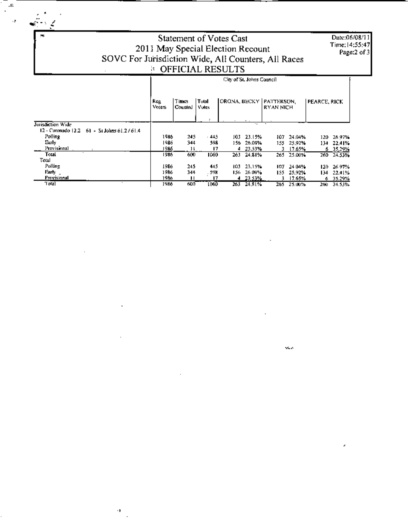4

 $\mathbf{a}$ l,

 $\mathcal{L}$ 

# Statement of Votes Cast 2011 May Special Election Recount<br>SOVC For Jurisdiction Wide, All Counters, All Races

Date:06/08/11 Time: 14:55:47<br>Page:2 of 3

|                                            | City of St. Johns Council |                  |                |                           |          |           |        |              |            |
|--------------------------------------------|---------------------------|------------------|----------------|---------------------------|----------|-----------|--------|--------------|------------|
|                                            | <b>Reg</b><br>Voters      | Times<br>Counted | Total<br>Vulcs | ORONA, BECKY   PATTERSON. |          | RYAN NICH |        | PEARCE, RICK |            |
| <b>Turisdiction Wide</b>                   |                           |                  |                |                           | ٠.       |           |        |              |            |
| 12 - Coronado 12.2 61 - St Johns 61.2/61.4 |                           |                  |                |                           |          |           |        |              |            |
| Polling                                    | 1986                      | 245              | 445            | 103.                      | 23.15%   | 107.      | 24.04% | 120.         | 26.97%     |
| Eurly                                      | 1986                      | 344              | 598            | 156.                      | 26.09%   | 155.      | 25.92% | 134          | 22.41%     |
| Provisional                                | 1986                      | 1 F              | 17             | 4                         | 23.53%   | 3         | 17.65% |              | 6 35.29%   |
| Total<br>Total                             | 1986                      | 600              | 1060           | 263                       | 24.81%   | 265       | 25.00% |              | 260 24.53% |
| Polling                                    | 1986                      | 245              | 45             | 103.                      | 23.15%   | 107       | 24.04% | 120.         | 26.97%     |
| Farty                                      | 1986                      | 344              | . 598          | 156.                      | 26.09%   | 155.      | 25.92% | 134.         | 22.41%     |
| Provisional                                | 1986                      | ш                | 17             |                           | 4 23 53% | R.        | 17.65% |              | 6 35.29%   |
| Total                                      | 1986                      | 600              | 1060           | 263                       | 24.81%   | 265       | 25.00% | 26U .        | 24.53%     |

H)

sis.